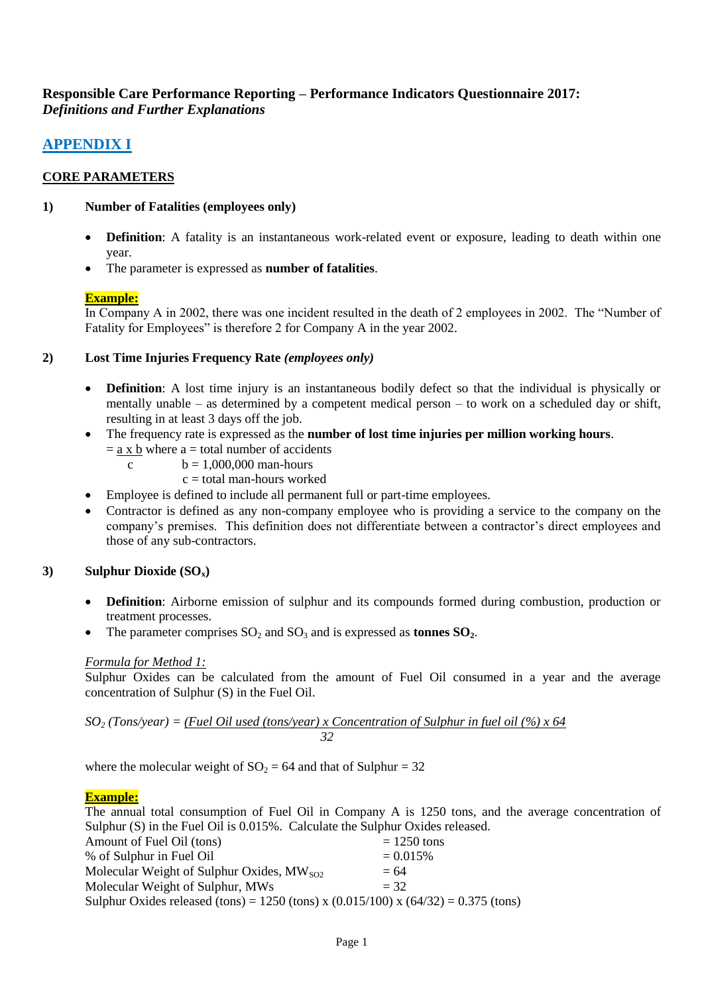# **Responsible Care Performance Reporting – Performance Indicators Questionnaire 2017:**  *Definitions and Further Explanations*

# **APPENDIX I**

# **CORE PARAMETERS**

# **1) Number of Fatalities (employees only)**

- **Definition**: A fatality is an instantaneous work-related event or exposure, leading to death within one year.
- The parameter is expressed as **number of fatalities**.

# **Example:**

In Company A in 2002, there was one incident resulted in the death of 2 employees in 2002. The "Number of Fatality for Employees" is therefore 2 for Company A in the year 2002.

# **2) Lost Time Injuries Frequency Rate** *(employees only)*

- **Definition**: A lost time injury is an instantaneous bodily defect so that the individual is physically or mentally unable – as determined by a competent medical person – to work on a scheduled day or shift, resulting in at least 3 days off the job.
- The frequency rate is expressed as the **number of lost time injuries per million working hours**.
	- $=$  a x b where a = total number of accidents
		- c  $b = 1,000,000$  man-hours
			- $c =$  total man-hours worked
- Employee is defined to include all permanent full or part-time employees.
- Contractor is defined as any non-company employee who is providing a service to the company on the company's premises. This definition does not differentiate between a contractor's direct employees and those of any sub-contractors.

# **3) Sulphur Dioxide (SOx)**

- **Definition**: Airborne emission of sulphur and its compounds formed during combustion, production or treatment processes.
- The parameter comprises  $SO_2$  and  $SO_3$  and is expressed as **tonnes**  $SO_2$ .

# *Formula for Method 1:*

Sulphur Oxides can be calculated from the amount of Fuel Oil consumed in a year and the average concentration of Sulphur (S) in the Fuel Oil.

*SO<sup>2</sup> (Tons/year) = (Fuel Oil used (tons/year) x Concentration of Sulphur in fuel oil (%) x 64 32*

where the molecular weight of  $SO_2 = 64$  and that of Sulphur = 32

# **Example:**

The annual total consumption of Fuel Oil in Company A is 1250 tons, and the average concentration of Sulphur (S) in the Fuel Oil is 0.015%. Calculate the Sulphur Oxides released.

| Sulphur Oxides released (tons) = 1250 (tons) x (0.015/100) x (64/32) = 0.375 (tons) |
|-------------------------------------------------------------------------------------|
|                                                                                     |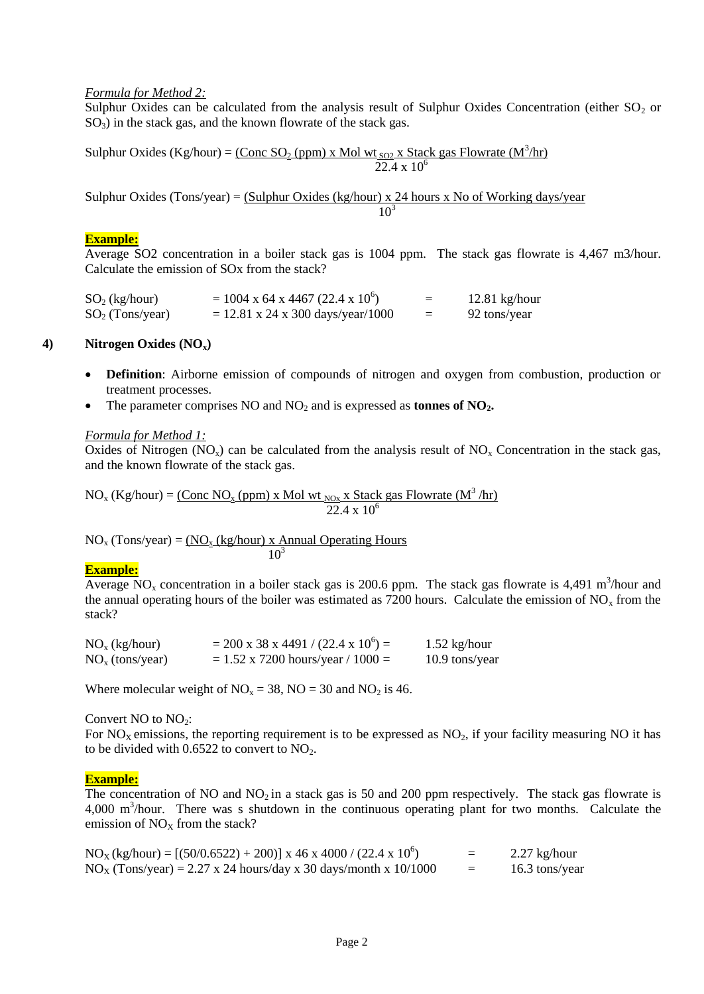### *Formula for Method 2:*

Sulphur Oxides can be calculated from the analysis result of Sulphur Oxides Concentration (either  $SO_2$  or  $SO<sub>3</sub>$ ) in the stack gas, and the known flowrate of the stack gas.

Sulphur Oxides (Kg/hour) =  $\frac{(\text{Conc SO}_2 \text{ (ppm)} \times \text{Mol wt}_{SO2} \times \text{Stack gas Flowrate } (M^3/\text{hr}))}{(\text{Conc SO}_2 \times \text{Stack gas Flowrate})}$  $22.4 \times 10^6$ 

Sulphur Oxides (Tons/year) =  $(Sulphur Oxides (kg/hour) x 24 hours x No of Working days/year$ 10<sup>3</sup>

#### **Example:**

Average SO2 concentration in a boiler stack gas is 1004 ppm. The stack gas flowrate is 4,467 m3/hour. Calculate the emission of SOx from the stack?

 $SO_2$  (kg/hour) = 1004 x 64 x 4467 (22.4 x 10<sup>6</sup>)  $=$  12.81 kg/hour  $SO_2$  (Tons/year) = 12.81 x 24 x 300 days/year/1000 = 92 tons/year

#### **4) Nitrogen Oxides (NOx)**

- **Definition**: Airborne emission of compounds of nitrogen and oxygen from combustion, production or treatment processes.
- The parameter comprises NO and NO<sup>2</sup> and is expressed as **tonnes of NO2.**

#### *Formula for Method 1:*

Oxides of Nitrogen (NO<sub>x</sub>) can be calculated from the analysis result of  $NO<sub>x</sub>$  Concentration in the stack gas, and the known flowrate of the stack gas.

 $NO_x$  (Kg/hour) = <u>(Conc NO<sub>x</sub> (ppm) x Mol wt <sub>NOx</sub> x Stack gas Flowrate (M<sup>3</sup>/hr)</u>  $\sqrt{22.4 \times 10^6}$ 

 $NO<sub>x</sub> (Tons/year) = (NO<sub>x</sub> (kg/hour) x Annual Operating Hours)$  $10^3$ 

#### **Example:**

Average  $\overline{NO_x}$  concentration in a boiler stack gas is 200.6 ppm. The stack gas flowrate is 4,491 m<sup>3</sup>/hour and the annual operating hours of the boiler was estimated as 7200 hours. Calculate the emission of  $NO<sub>x</sub>$  from the stack?

| $NOx$ (kg/hour)   | $= 200 \times 38 \times 4491 / (22.4 \times 10^{6}) =$ | $1.52$ kg/hour |
|-------------------|--------------------------------------------------------|----------------|
| $NOx$ (tons/year) | $= 1.52$ x 7200 hours/year / 1000 =                    | 10.9 tons/year |

Where molecular weight of  $NO_x = 38$ ,  $NO = 30$  and  $NO_2$  is 46.

#### Convert  $NO$  to  $NO<sub>2</sub>$ :

For  $NO<sub>X</sub>$  emissions, the reporting requirement is to be expressed as  $NO<sub>2</sub>$ , if your facility measuring NO it has to be divided with  $0.6522$  to convert to  $NO<sub>2</sub>$ .

#### **Example:**

The concentration of NO and  $NO<sub>2</sub>$  in a stack gas is 50 and 200 ppm respectively. The stack gas flowrate is 4,000 m<sup>3</sup>/hour. There was s shutdown in the continuous operating plant for two months. Calculate the emission of  $NO<sub>x</sub>$  from the stack?

| $NOX(kg/hour) = [(50/0.6522) + 200)]$ x 46 x 4000 / (22.4 x 10 <sup>6</sup> ) | =   | $2.27$ kg/hour |
|-------------------------------------------------------------------------------|-----|----------------|
| $NOX (Tons/year) = 2.27 x 24 hours/day x 30 days/month x 10/1000$             | $=$ | 16.3 tons/year |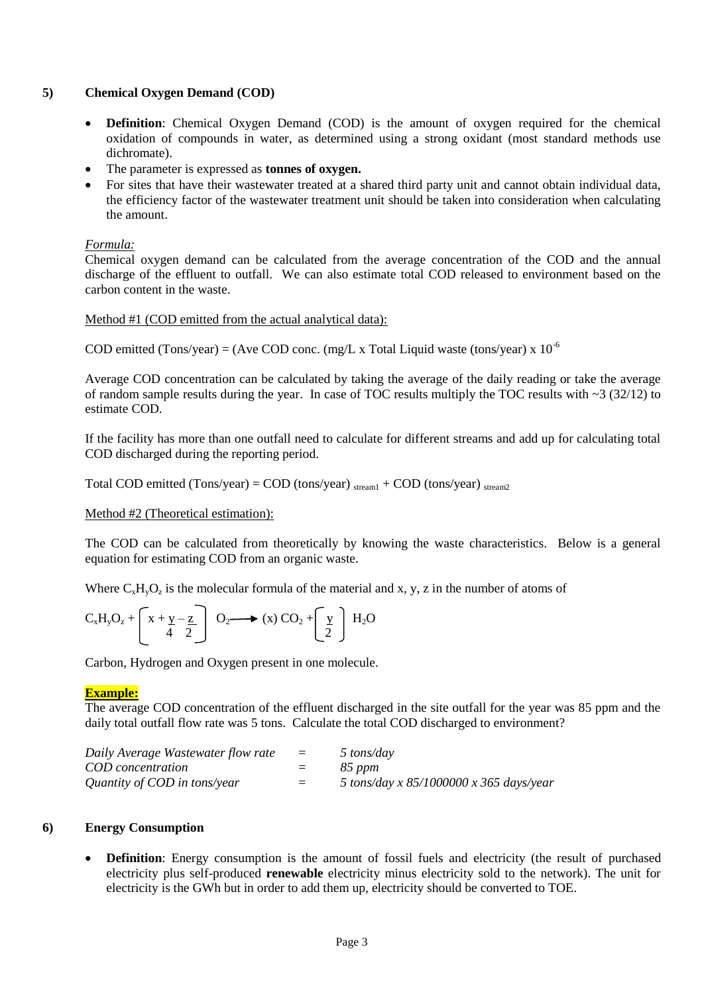# **5) Chemical Oxygen Demand (COD)**

- **Definition**: Chemical Oxygen Demand (COD) is the amount of oxygen required for the chemical oxidation of compounds in water, as determined using a strong oxidant (most standard methods use dichromate).
- The parameter is expressed as **tonnes of oxygen.**
- For sites that have their wastewater treated at a shared third party unit and cannot obtain individual data, the efficiency factor of the wastewater treatment unit should be taken into consideration when calculating the amount.

### *Formula:*

Chemical oxygen demand can be calculated from the average concentration of the COD and the annual discharge of the effluent to outfall. We can also estimate total COD released to environment based on the carbon content in the waste.

#### Method #1 (COD emitted from the actual analytical data):

COD emitted (Tons/year) = (Ave COD conc. (mg/L x Total Liquid waste (tons/year) x  $10^{-6}$ 

Average COD concentration can be calculated by taking the average of the daily reading or take the average of random sample results during the year. In case of TOC results multiply the TOC results with  $\sim$ 3 (32/12) to estimate COD.

If the facility has more than one outfall need to calculate for different streams and add up for calculating total COD discharged during the reporting period.

Total COD emitted (Tons/year) = COD (tons/year)  $_{\text{stream1}}$  + COD (tons/year)  $_{\text{stream2}}$ 

Method #2 (Theoretical estimation):

The COD can be calculated from theoretically by knowing the waste characteristics. Below is a general equation for estimating COD from an organic waste.

Where  $C_xH_yO_z$  is the molecular formula of the material and x, y, z in the number of atoms of

$$
C_xH_yO_z + \begin{bmatrix} x + y - z \\ 4 & 2 \end{bmatrix} O_2 \longrightarrow (x) CO_2 + \begin{bmatrix} y \\ 2 \end{bmatrix} H_2O
$$

Carbon, Hydrogen and Oxygen present in one molecule.

#### **Example:**

The average COD concentration of the effluent discharged in the site outfall for the year was 85 ppm and the daily total outfall flow rate was 5 tons. Calculate the total COD discharged to environment?

| Daily Average Wastewater flow rate | $\equiv$ | 5 tons/day                              |
|------------------------------------|----------|-----------------------------------------|
| COD concentration                  | $=$      | 85 ppm                                  |
| Quantity of COD in tons/year       | $=$      | 5 tons/day x 85/1000000 x 365 days/year |

#### **6) Energy Consumption**

**Definition**: Energy consumption is the amount of fossil fuels and electricity (the result of purchased electricity plus self-produced **renewable** electricity minus electricity sold to the network). The unit for electricity is the GWh but in order to add them up, electricity should be converted to TOE.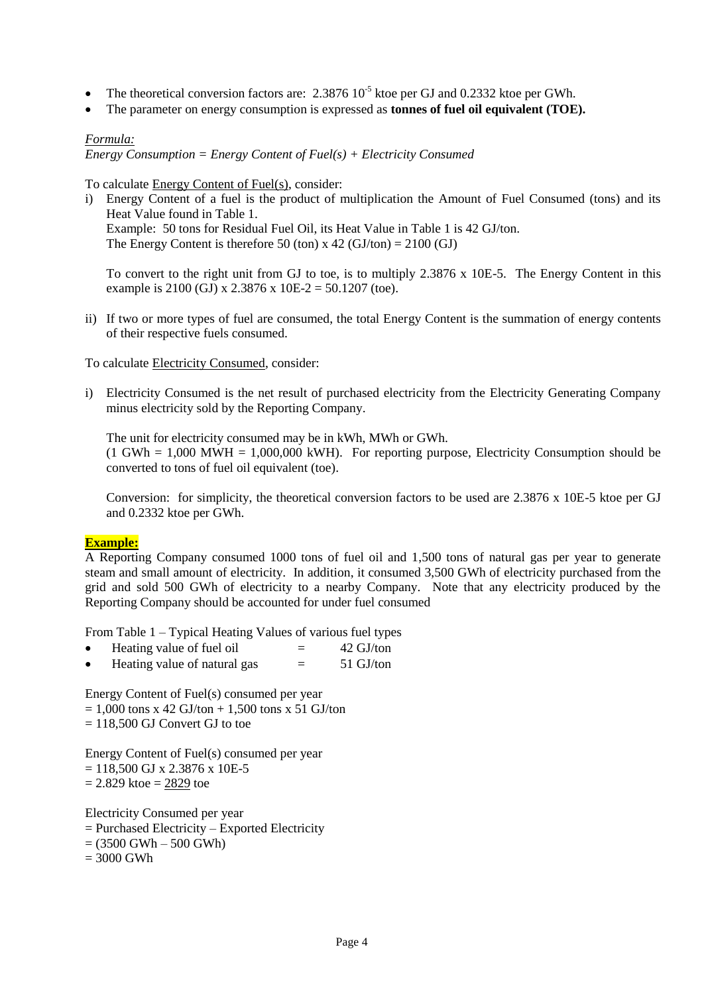- The theoretical conversion factors are:  $2.3876 \times 10^{-5}$  ktoe per GJ and 0.2332 ktoe per GWh.
- The parameter on energy consumption is expressed as **tonnes of fuel oil equivalent (TOE).**

### *Formula:*

*Energy Consumption = Energy Content of Fuel(s) + Electricity Consumed*

To calculate Energy Content of Fuel(s), consider:

i) Energy Content of a fuel is the product of multiplication the Amount of Fuel Consumed (tons) and its Heat Value found in Table 1. Example: 50 tons for Residual Fuel Oil, its Heat Value in Table 1 is 42 GJ/ton. The Energy Content is therefore 50 (ton) x 42 (GJ/ton) =  $2100$  (GJ)

To convert to the right unit from GJ to toe, is to multiply 2.3876 x 10E-5. The Energy Content in this example is 2100 (GJ) x 2.3876 x 10E-2 = 50.1207 (toe).

ii) If two or more types of fuel are consumed, the total Energy Content is the summation of energy contents of their respective fuels consumed.

#### To calculate Electricity Consumed, consider:

i) Electricity Consumed is the net result of purchased electricity from the Electricity Generating Company minus electricity sold by the Reporting Company.

The unit for electricity consumed may be in kWh, MWh or GWh.  $(1 \text{ GWh} = 1,000 \text{ MWH} = 1,000,000 \text{ kWh})$ . For reporting purpose, Electricity Consumption should be converted to tons of fuel oil equivalent (toe).

Conversion: for simplicity, the theoretical conversion factors to be used are 2.3876 x 10E-5 ktoe per GJ and 0.2332 ktoe per GWh.

### **Example:**

A Reporting Company consumed 1000 tons of fuel oil and 1,500 tons of natural gas per year to generate steam and small amount of electricity. In addition, it consumed 3,500 GWh of electricity purchased from the grid and sold 500 GWh of electricity to a nearby Company. Note that any electricity produced by the Reporting Company should be accounted for under fuel consumed

From Table 1 – Typical Heating Values of various fuel types

- Heating value of fuel oil  $=$  42 GJ/ton
- Heating value of natural gas  $=$  51 GJ/ton

Energy Content of Fuel(s) consumed per year

- $= 1,000$  tons x 42 GJ/ton + 1,500 tons x 51 GJ/ton
- $= 118,500$  GJ Convert GJ to toe

Energy Content of Fuel(s) consumed per year

 $= 118,500$  GJ x 2.3876 x 10E-5

 $= 2.829$  ktoe  $= 2829$  toe

Electricity Consumed per year

 $=$  Purchased Electricity – Exported Electricity

 $= (3500 \text{ GWh} - 500 \text{ GWh})$ 

 $= 3000$  GWh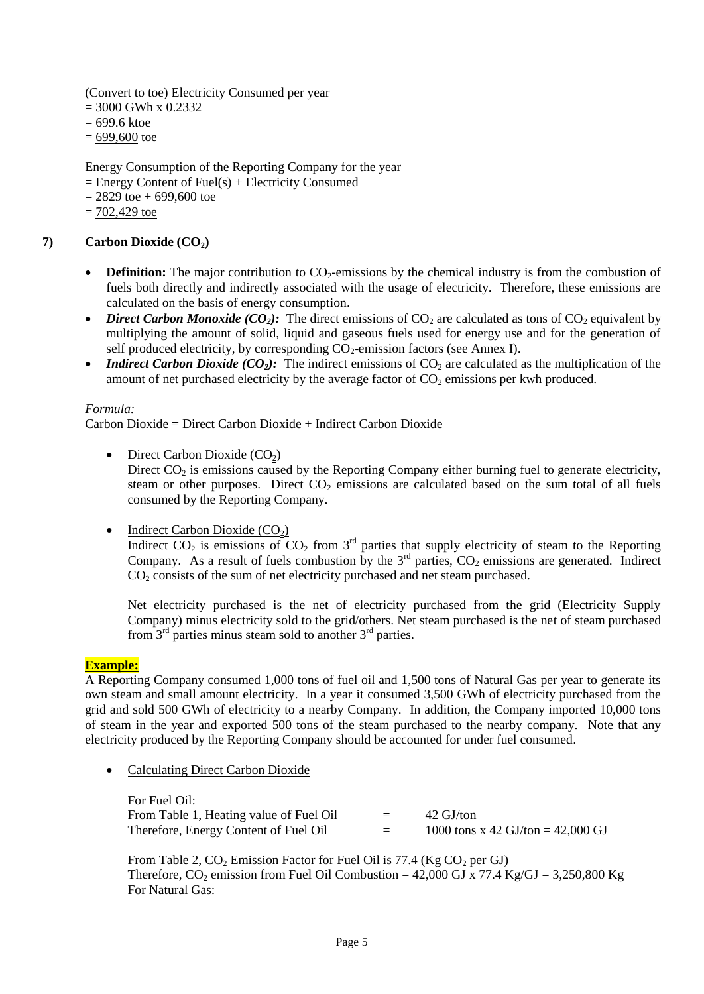(Convert to toe) Electricity Consumed per year

- $= 3000$  GWh x 0.2332
- = 699.6 ktoe
- $= 699,600$  toe

Energy Consumption of the Reporting Company for the year

- $=$  Energy Content of Fuel(s) + Electricity Consumed
- $= 2829$  toe  $+ 699,600$  toe
- $= 702,429$  toe

# **7) Carbon Dioxide (CO2)**

- **Definition:** The major contribution to  $CO<sub>2</sub>$ -emissions by the chemical industry is from the combustion of fuels both directly and indirectly associated with the usage of electricity. Therefore, these emissions are calculated on the basis of energy consumption.
- *Direct Carbon Monoxide (CO<sub>2</sub>):* The direct emissions of  $CO_2$  are calculated as tons of  $CO_2$  equivalent by multiplying the amount of solid, liquid and gaseous fuels used for energy use and for the generation of self produced electricity, by corresponding  $CO<sub>2</sub>$ -emission factors (see Annex I).
- *Indirect Carbon Dioxide (CO<sub>2</sub>*): The indirect emissions of  $CO_2$  are calculated as the multiplication of the amount of net purchased electricity by the average factor of  $CO<sub>2</sub>$  emissions per kwh produced.

### *Formula:*

Carbon Dioxide = Direct Carbon Dioxide + Indirect Carbon Dioxide

• Direct Carbon Dioxide  $(CO_2)$ 

Direct  $CO<sub>2</sub>$  is emissions caused by the Reporting Company either burning fuel to generate electricity, steam or other purposes. Direct  $CO<sub>2</sub>$  emissions are calculated based on the sum total of all fuels consumed by the Reporting Company.

 $\bullet$  Indirect Carbon Dioxide (CO<sub>2</sub>)

Indirect  $CO_2$  is emissions of  $CO_2$  from  $3<sup>rd</sup>$  parties that supply electricity of steam to the Reporting Company. As a result of fuels combustion by the  $3<sup>rd</sup>$  parties,  $CO<sub>2</sub>$  emissions are generated. Indirect  $CO<sub>2</sub>$  consists of the sum of net electricity purchased and net steam purchased.

Net electricity purchased is the net of electricity purchased from the grid (Electricity Supply Company) minus electricity sold to the grid/others. Net steam purchased is the net of steam purchased from  $3<sup>rd</sup>$  parties minus steam sold to another  $3<sup>rd</sup>$  parties.

#### **Example:**

A Reporting Company consumed 1,000 tons of fuel oil and 1,500 tons of Natural Gas per year to generate its own steam and small amount electricity. In a year it consumed 3,500 GWh of electricity purchased from the grid and sold 500 GWh of electricity to a nearby Company. In addition, the Company imported 10,000 tons of steam in the year and exported 500 tons of the steam purchased to the nearby company. Note that any electricity produced by the Reporting Company should be accounted for under fuel consumed.

Calculating Direct Carbon Dioxide

For Fuel Oil: From Table 1, Heating value of Fuel Oil = 42 GJ/ton Therefore, Energy Content of Fuel Oil  $=$  1000 tons x 42 GJ/ton = 42,000 GJ

From Table 2,  $CO_2$  Emission Factor for Fuel Oil is 77.4 (Kg  $CO_2$  per GJ) Therefore, CO<sub>2</sub> emission from Fuel Oil Combustion =  $42,000$  GJ x 77.4 Kg/GJ = 3,250,800 Kg For Natural Gas: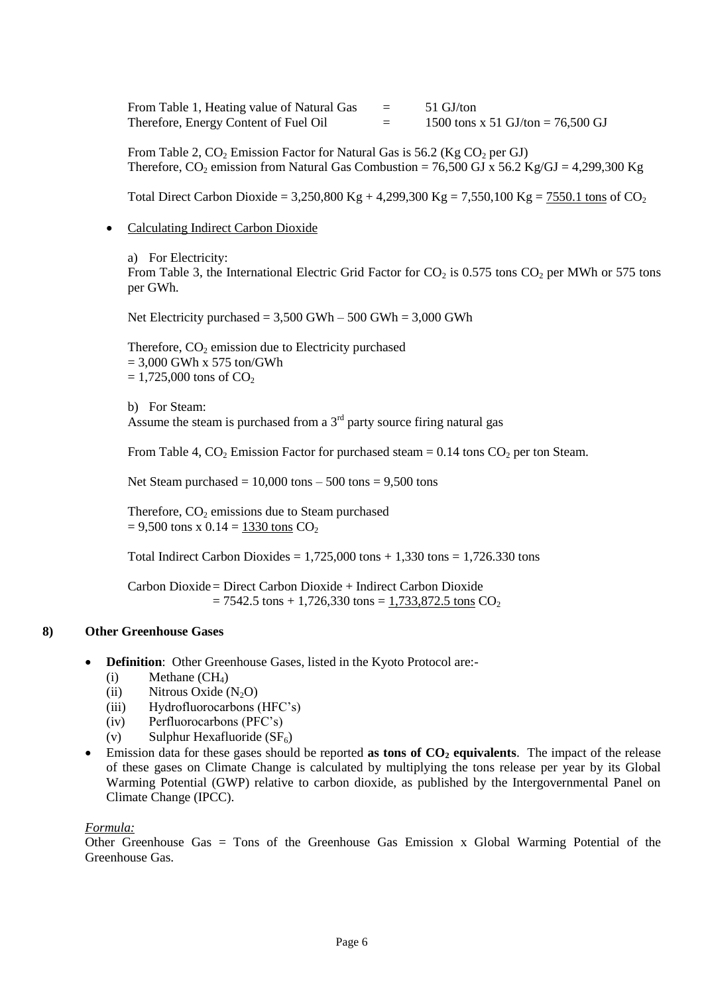From Table 1, Heating value of Natural Gas  $=$  51 GJ/ton Therefore, Energy Content of Fuel Oil  $=$  1500 tons x 51 GJ/ton = 76,500 GJ

From Table 2,  $CO_2$  Emission Factor for Natural Gas is 56.2 (Kg  $CO_2$  per GJ) Therefore,  $CO_2$  emission from Natural Gas Combustion = 76,500 GJ x 56.2 Kg/GJ = 4,299,300 Kg

Total Direct Carbon Dioxide = 3,250,800 Kg + 4,299,300 Kg = 7,550,100 Kg =  $7550.1$  tons of CO<sub>2</sub>

• Calculating Indirect Carbon Dioxide

a) For Electricity: From Table 3, the International Electric Grid Factor for  $CO_2$  is 0.575 tons  $CO_2$  per MWh or 575 tons per GWh.

Net Electricity purchased =  $3,500$  GWh –  $500$  GWh =  $3,000$  GWh

Therefore,  $CO<sub>2</sub>$  emission due to Electricity purchased  $= 3,000$  GWh x 575 ton/GWh  $= 1,725,000$  tons of CO<sub>2</sub>

b) For Steam: Assume the steam is purchased from a  $3<sup>rd</sup>$  party source firing natural gas

From Table 4,  $CO_2$  Emission Factor for purchased steam = 0.14 tons  $CO_2$  per ton Steam.

Net Steam purchased  $= 10,000$  tons  $- 500$  tons  $= 9,500$  tons

Therefore,  $CO<sub>2</sub>$  emissions due to Steam purchased  $= 9,500$  tons x  $0.14 = 1330$  tons  $CO<sub>2</sub>$ 

Total Indirect Carbon Dioxides =  $1,725,000$  tons +  $1,330$  tons =  $1,726.330$  tons

Carbon Dioxide= Direct Carbon Dioxide + Indirect Carbon Dioxide  $= 7542.5$  tons  $+ 1,726,330$  tons  $= 1,733,872.5$  tons CO<sub>2</sub>

#### **8) Other Greenhouse Gases**

- **Definition**: Other Greenhouse Gases, listed in the Kyoto Protocol are:-
	- $(i)$  Methane  $(CH<sub>4</sub>)$
	- (ii) Nitrous Oxide  $(N_2O)$
	- (iii) Hydrofluorocarbons (HFC's)
	- (iv) Perfluorocarbons (PFC's)
	- (v) Sulphur Hexafluoride  $(SF_6)$
- Emission data for these gases should be reported **as tons of CO<sup>2</sup> equivalents**. The impact of the release of these gases on Climate Change is calculated by multiplying the tons release per year by its Global Warming Potential (GWP) relative to carbon dioxide, as published by the Intergovernmental Panel on Climate Change (IPCC).

#### *Formula:*

Other Greenhouse Gas = Tons of the Greenhouse Gas Emission x Global Warming Potential of the Greenhouse Gas.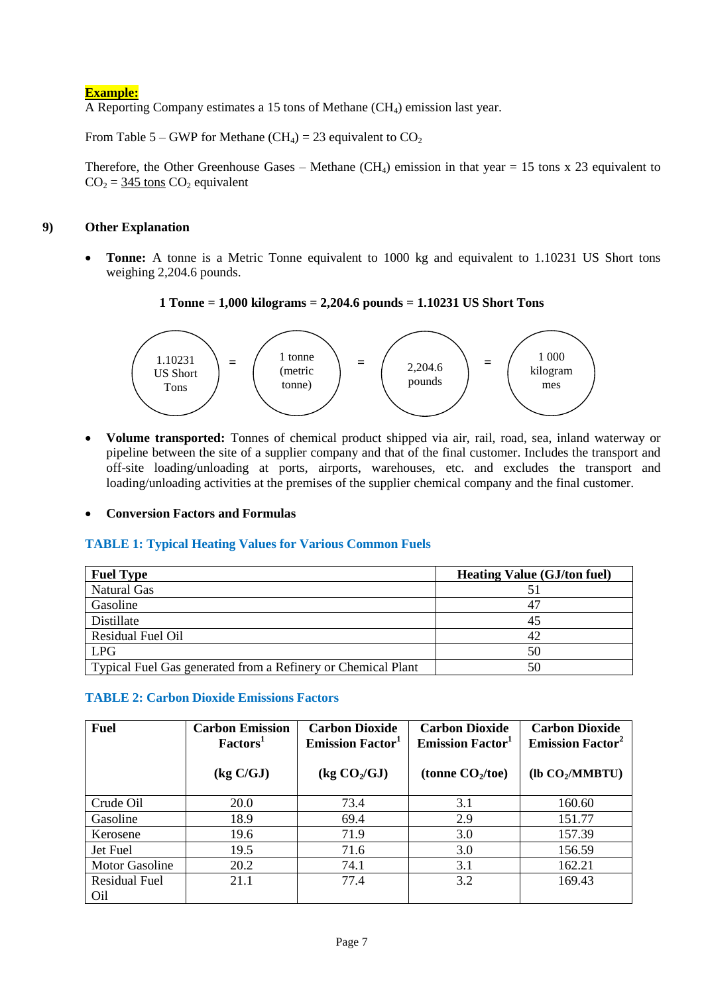# **Example:**

A Reporting Company estimates a 15 tons of Methane (CH4) emission last year.

From Table 5 – GWP for Methane (CH<sub>4</sub>) = 23 equivalent to  $CO<sub>2</sub>$ 

Therefore, the Other Greenhouse Gases – Methane  $(CH_4)$  emission in that year = 15 tons x 23 equivalent to  $CO<sub>2</sub> = 345$  tons  $CO<sub>2</sub>$  equivalent

### **9) Other Explanation**

 **Tonne:** A tonne is a Metric Tonne equivalent to 1000 kg and equivalent to 1.10231 US Short tons weighing 2,204.6 pounds.

# **1 Tonne = 1,000 kilograms = 2,204.6 pounds = 1.10231 US Short Tons**



 **Volume transported:** Tonnes of chemical product shipped via air, rail, road, sea, inland waterway or pipeline between the site of a supplier company and that of the final customer. Includes the transport and off-site loading/unloading at ports, airports, warehouses, etc. and excludes the transport and loading/unloading activities at the premises of the supplier chemical company and the final customer.

**Conversion Factors and Formulas**

# **TABLE 1: Typical Heating Values for Various Common Fuels**

| <b>Fuel Type</b>                                             | <b>Heating Value (GJ/ton fuel)</b> |
|--------------------------------------------------------------|------------------------------------|
| <b>Natural Gas</b>                                           |                                    |
| Gasoline                                                     | 47                                 |
| Distillate                                                   | 45                                 |
| Residual Fuel Oil                                            | 42                                 |
| <b>LPG</b>                                                   | 50                                 |
| Typical Fuel Gas generated from a Refinery or Chemical Plant | 50                                 |

# **TABLE 2: Carbon Dioxide Emissions Factors**

| <b>Fuel</b>                             | <b>Carbon Emission</b><br>Factors <sup>1</sup> | <b>Carbon Dioxide</b><br><b>Emission Factor</b> <sup>1</sup> | <b>Carbon Dioxide</b><br><b>Emission Factor</b> <sup>1</sup> | <b>Carbon Dioxide</b><br><b>Emission Factor<sup>2</sup></b> |
|-----------------------------------------|------------------------------------------------|--------------------------------------------------------------|--------------------------------------------------------------|-------------------------------------------------------------|
|                                         | $\left(\frac{\text{kg C}}{\text{GJ}}\right)$   | $\log CO_2/GJ$                                               | (tonne $CO2/toe$ )                                           | (1b CO <sub>2</sub> /MMBTU)                                 |
| Crude Oil                               | 20.0                                           | 73.4                                                         | 3.1                                                          | 160.60                                                      |
| Gasoline                                | 18.9                                           | 69.4                                                         | 2.9                                                          | 151.77                                                      |
| Kerosene                                | 19.6                                           | 71.9                                                         | 3.0                                                          | 157.39                                                      |
| Jet Fuel                                | 19.5                                           | 71.6                                                         | 3.0                                                          | 156.59                                                      |
| <b>Motor Gasoline</b>                   | 20.2                                           | 74.1                                                         | 3.1                                                          | 162.21                                                      |
| <b>Residual Fuel</b><br>O <sub>il</sub> | 21.1                                           | 77.4                                                         | 3.2                                                          | 169.43                                                      |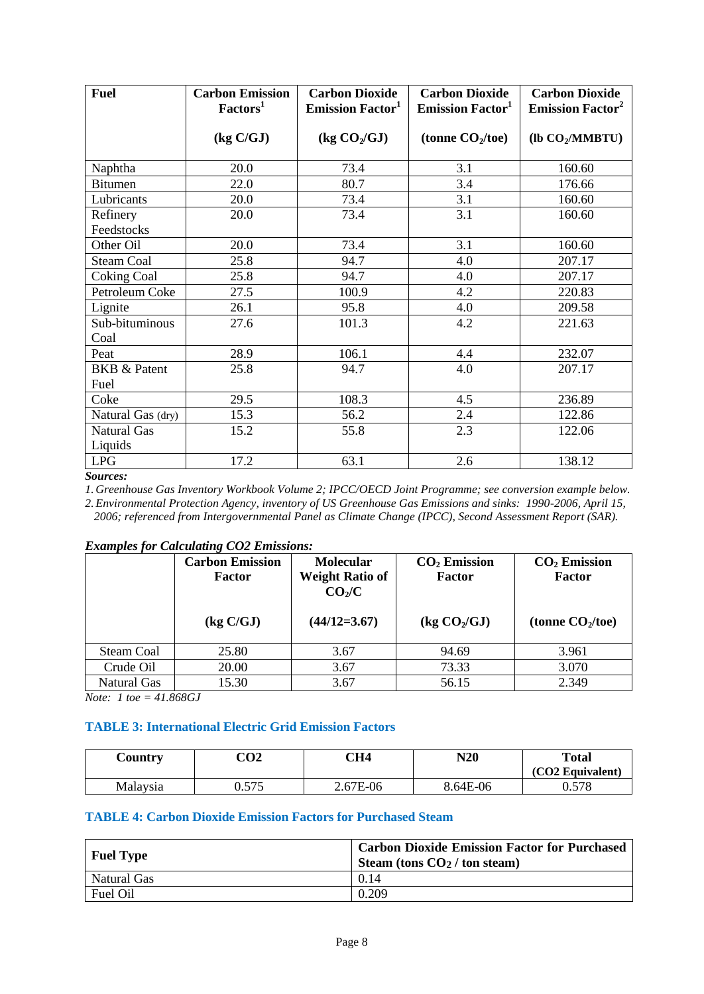| <b>Fuel</b>                     | <b>Carbon Emission</b><br>Factors <sup>1</sup> | <b>Carbon Dioxide</b><br><b>Emission Factor</b> <sup>1</sup> | <b>Carbon Dioxide</b><br><b>Emission Factor</b> <sup>1</sup> | <b>Carbon Dioxide</b><br><b>Emission Factor<sup>2</sup></b> |
|---------------------------------|------------------------------------------------|--------------------------------------------------------------|--------------------------------------------------------------|-------------------------------------------------------------|
|                                 | (kg C/GJ)                                      | $\frac{1}{2}$ (kg $CO_2/GJ$ )                                | (tonne $CO2/toe$ )                                           | $($ lb CO <sub>2</sub> /MMBTU $)$                           |
| Naphtha                         | 20.0                                           | 73.4                                                         | 3.1                                                          | 160.60                                                      |
| <b>Bitumen</b>                  | 22.0                                           | 80.7                                                         | 3.4                                                          | 176.66                                                      |
| Lubricants                      | 20.0                                           | 73.4                                                         | 3.1                                                          | 160.60                                                      |
| Refinery                        | 20.0                                           | 73.4                                                         | 3.1                                                          | 160.60                                                      |
| Feedstocks                      |                                                |                                                              |                                                              |                                                             |
| Other Oil                       | 20.0                                           | 73.4                                                         | 3.1                                                          | 160.60                                                      |
| <b>Steam Coal</b>               | 25.8                                           | 94.7                                                         | 4.0                                                          | 207.17                                                      |
| <b>Coking Coal</b>              | 25.8                                           | 94.7                                                         | 4.0                                                          | 207.17                                                      |
| Petroleum Coke                  | 27.5                                           | 100.9                                                        | 4.2                                                          | 220.83                                                      |
| Lignite                         | 26.1                                           | 95.8                                                         | 4.0                                                          | 209.58                                                      |
| Sub-bituminous<br>Coal          | 27.6                                           | 101.3                                                        | 4.2                                                          | 221.63                                                      |
| Peat                            | 28.9                                           | 106.1                                                        | 4.4                                                          | 232.07                                                      |
| <b>BKB &amp; Patent</b><br>Fuel | 25.8                                           | 94.7                                                         | 4.0                                                          | 207.17                                                      |
| Coke                            | 29.5                                           | 108.3                                                        | 4.5                                                          | 236.89                                                      |
| Natural Gas (dry)               | 15.3                                           | 56.2                                                         | 2.4                                                          | 122.86                                                      |
| <b>Natural Gas</b><br>Liquids   | 15.2                                           | 55.8                                                         | 2.3                                                          | 122.06                                                      |
| <b>LPG</b><br>$\mathbf{C}$      | 17.2                                           | 63.1                                                         | 2.6                                                          | 138.12                                                      |

#### *Sources:*

*1. Greenhouse Gas Inventory Workbook Volume 2; IPCC/OECD Joint Programme; see conversion example below.*

*2.Environmental Protection Agency, inventory of US Greenhouse Gas Emissions and sinks: 1990-2006, April 15, 2006; referenced from Intergovernmental Panel as Climate Change (IPCC), Second Assessment Report (SAR).*

|             | <b>Carbon Emission</b><br>Factor             | <b>Molecular</b><br><b>Weight Ratio of</b><br>CO <sub>2</sub> /C | $CO2$ Emission<br>Factor | $CO2$ Emission<br>Factor |
|-------------|----------------------------------------------|------------------------------------------------------------------|--------------------------|--------------------------|
|             | $\left(\frac{\text{kg C}}{\text{GJ}}\right)$ | $(44/12=3.67)$                                                   | $\log CO_2/GJ$           | (tonne $CO2/toe$ )       |
| Steam Coal  | 25.80                                        | 3.67                                                             | 94.69                    | 3.961                    |
| Crude Oil   | 20.00                                        | 3.67                                                             | 73.33                    | 3.070                    |
| Natural Gas | 15.30                                        | 3.67                                                             | 56.15                    | 2.349                    |

#### *Examples for Calculating CO2 Emissions:*

*Note: 1 toe = 41.868GJ*

#### **TABLE 3: International Electric Grid Emission Factors**

| <b>Country</b> | CO <sub>2</sub> | CH4      | N20      | <b>Total</b>     |
|----------------|-----------------|----------|----------|------------------|
|                |                 |          |          | (CO2 Equivalent) |
| Malaysia       | 575<br>U.JIJ    | 2.67E-06 | 8.64E-06 | .578<br>U.J      |

# **TABLE 4: Carbon Dioxide Emission Factors for Purchased Steam**

| <b>Fuel Type</b> | <b>Carbon Dioxide Emission Factor for Purchased</b><br>Steam (tons $CO2$ / ton steam) |
|------------------|---------------------------------------------------------------------------------------|
| Natural Gas      | 0.14                                                                                  |
| Fuel Oil         | 0.209                                                                                 |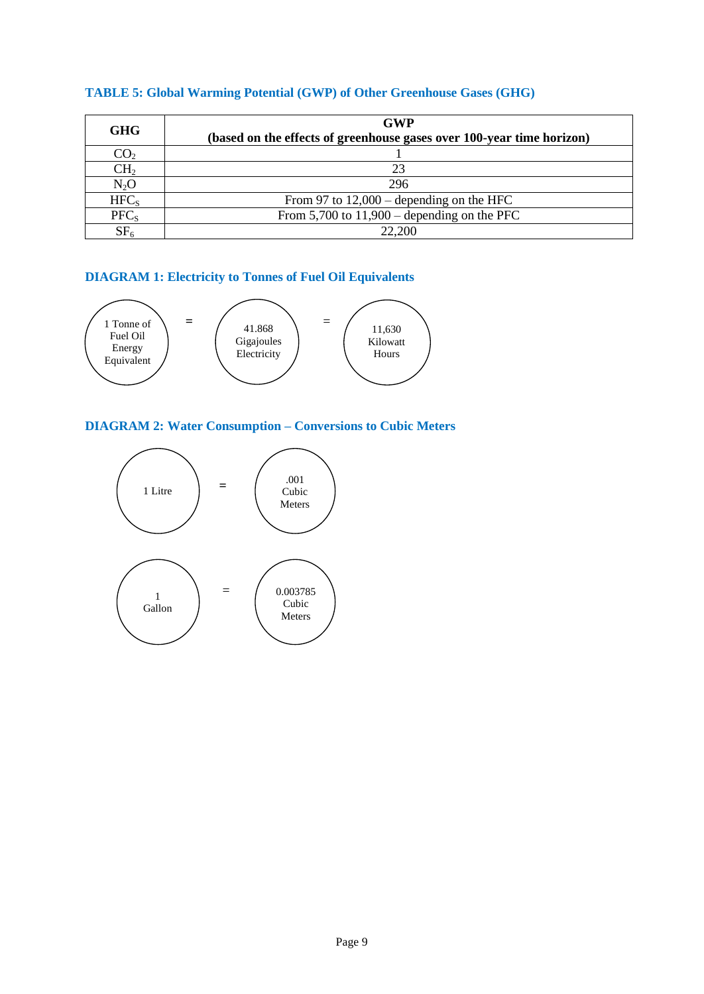| <b>GHG</b>       | <b>GWP</b><br>(based on the effects of greenhouse gases over 100-year time horizon) |
|------------------|-------------------------------------------------------------------------------------|
| CO <sub>2</sub>  |                                                                                     |
| CH <sub>2</sub>  | 23                                                                                  |
| $N_2O$           | 296                                                                                 |
| HFC <sub>s</sub> | From 97 to $12,000$ – depending on the HFC                                          |
| PFC <sub>s</sub> | From $5,700$ to $11,900$ – depending on the PFC                                     |
| SF <sub>6</sub>  | 22.200                                                                              |

# **TABLE 5: Global Warming Potential (GWP) of Other Greenhouse Gases (GHG)**

# **DIAGRAM 1: Electricity to Tonnes of Fuel Oil Equivalents**



# **DIAGRAM 2: Water Consumption – Conversions to Cubic Meters**

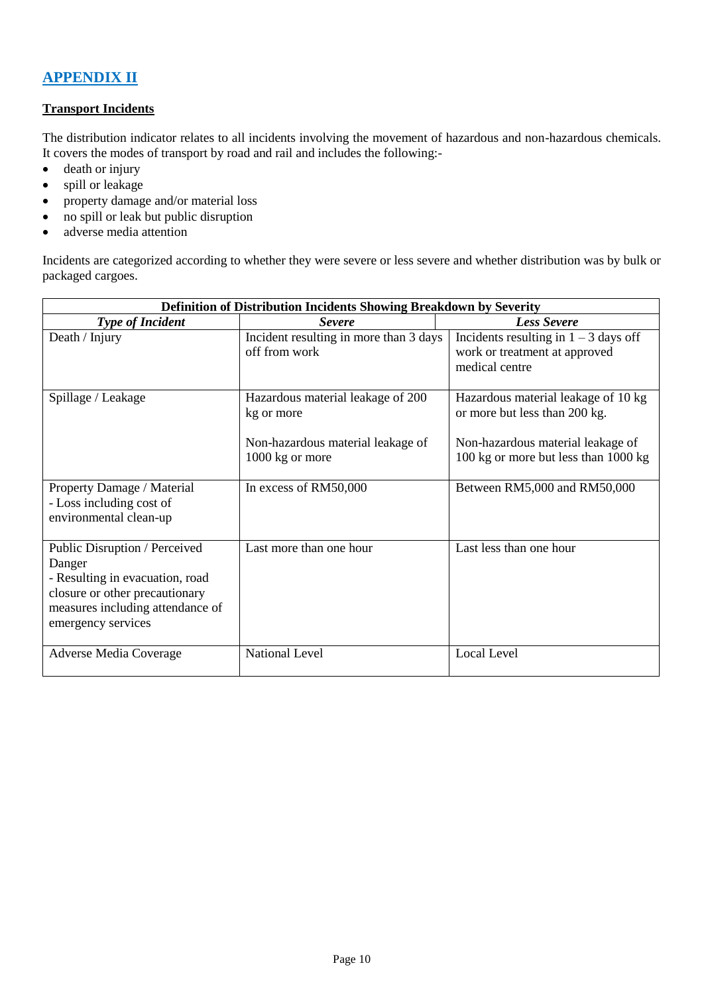# **APPENDIX II**

# **Transport Incidents**

The distribution indicator relates to all incidents involving the movement of hazardous and non-hazardous chemicals. It covers the modes of transport by road and rail and includes the following:-

- death or injury
- spill or leakage
- property damage and/or material loss
- no spill or leak but public disruption
- adverse media attention

Incidents are categorized according to whether they were severe or less severe and whether distribution was by bulk or packaged cargoes.

| Definition of Distribution Incidents Showing Breakdown by Severity                                                                                                     |                                                                                                         |                                                                                                                                                   |  |  |  |
|------------------------------------------------------------------------------------------------------------------------------------------------------------------------|---------------------------------------------------------------------------------------------------------|---------------------------------------------------------------------------------------------------------------------------------------------------|--|--|--|
| <b>Type of Incident</b>                                                                                                                                                | <b>Severe</b>                                                                                           | <b>Less Severe</b>                                                                                                                                |  |  |  |
| Death / Injury                                                                                                                                                         | Incident resulting in more than 3 days<br>off from work                                                 | Incidents resulting in $1 - 3$ days off<br>work or treatment at approved<br>medical centre                                                        |  |  |  |
| Spillage / Leakage                                                                                                                                                     | Hazardous material leakage of 200<br>kg or more<br>Non-hazardous material leakage of<br>1000 kg or more | Hazardous material leakage of 10 kg<br>or more but less than 200 kg.<br>Non-hazardous material leakage of<br>100 kg or more but less than 1000 kg |  |  |  |
| Property Damage / Material<br>- Loss including cost of<br>environmental clean-up                                                                                       | In excess of RM50,000                                                                                   | Between RM5,000 and RM50,000                                                                                                                      |  |  |  |
| Public Disruption / Perceived<br>Danger<br>- Resulting in evacuation, road<br>closure or other precautionary<br>measures including attendance of<br>emergency services | Last more than one hour                                                                                 | Last less than one hour                                                                                                                           |  |  |  |
| <b>Adverse Media Coverage</b>                                                                                                                                          | <b>National Level</b>                                                                                   | <b>Local Level</b>                                                                                                                                |  |  |  |